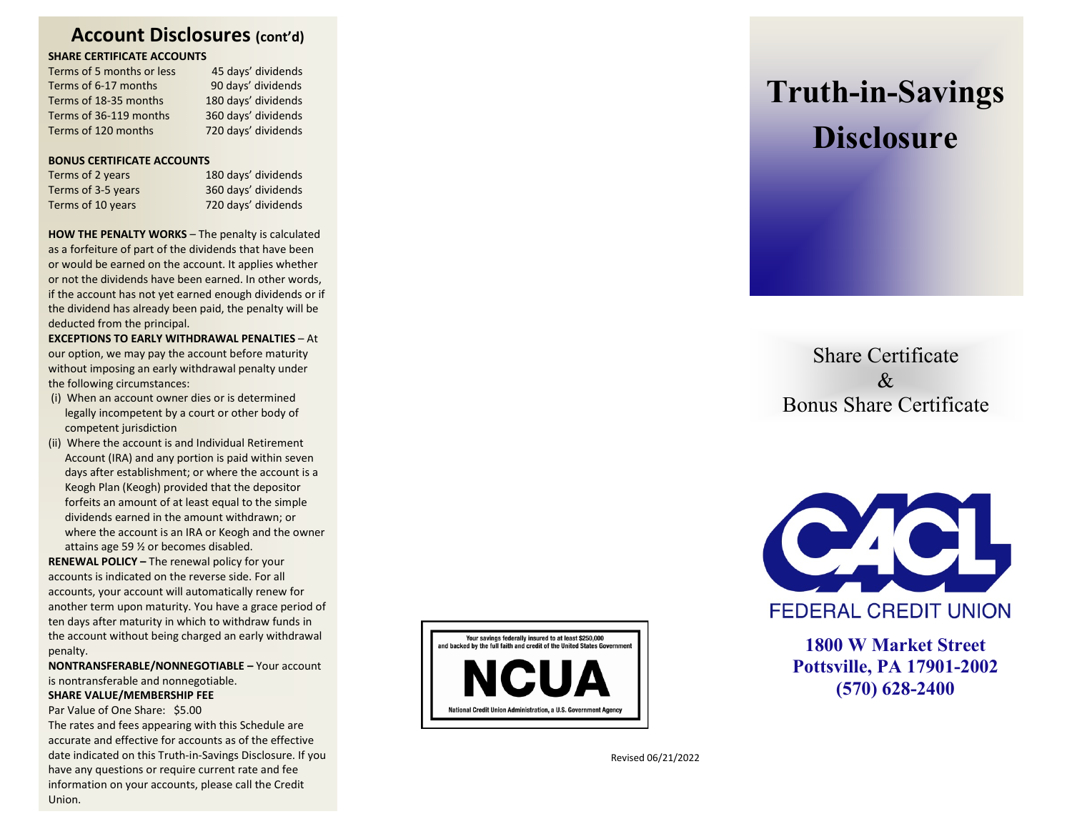### **Account Disclosures (cont'd)**

#### **SHARE CERTIFICATE ACCOUNTS**

| Terms of 5 months or less | 45 days' dividends  |
|---------------------------|---------------------|
| Terms of 6-17 months      | 90 days' dividends  |
| Terms of 18-35 months     | 180 days' dividends |
| Terms of 36-119 months    | 360 days' dividends |
| Terms of 120 months       | 720 days' dividends |

#### **BONUS CERTIFICATE ACCOUNTS**

| Terms of 2 years   | 180 days' dividends |
|--------------------|---------------------|
| Terms of 3-5 years | 360 days' dividends |
| Terms of 10 years  | 720 days' dividends |

**HOW THE PENALTY WORKS** – The penalty is calculated as a forfeiture of part of the dividends that have been or would be earned on the account. It applies whether or not the dividends have been earned. In other words, if the account has not yet earned enough dividends or if the dividend has already been paid, the penalty will be deducted from the principal.

**EXCEPTIONS TO EARLY WITHDRAWAL PENALTIES** – At our option, we may pay the account before maturity without imposing an early withdrawal penalty under the following circumstances:

- (i) When an account owner dies or is determined legally incompetent by a court or other body of competent jurisdiction
- (ii) Where the account is and Individual Retirement Account (IRA) and any portion is paid within seven days after establishment; or where the account is a Keogh Plan (Keogh) provided that the depositor forfeits an amount of at least equal to the simple dividends earned in the amount withdrawn; or where the account is an IRA or Keogh and the owner attains age 59 ½ or becomes disabled.

**RENEWAL POLICY –** The renewal policy for your accounts is indicated on the reverse side. For all accounts, your account will automatically renew for another term upon maturity. You have a grace period of ten days after maturity in which to withdraw funds in the account without being charged an early withdrawal penalty .

**NONTRANSFERABLE/NONNEGOTIABLE –** Your account is nontransferable and nonnegotiable. **SHARE VALUE/MEMBERSHIP FEE**

Par Value of One Share: \$5.00

The rates and fees appearing with this Schedule are accurate and effective for accounts as of the effective date indicated on this Truth -in -Savings Disclosure. If you have any questions or require current rate and fee information on your accounts, please call the Credit Union.



# **Truth -in -Savings Disclosure**

Share Certificate  $\&$ Bonus Share Certificate



**FEDERAL CREDIT UNION** 

**1800 W Market Street Pottsville, PA 17901 -2002 (570) 628 -2400**

Revised 06/21/2022